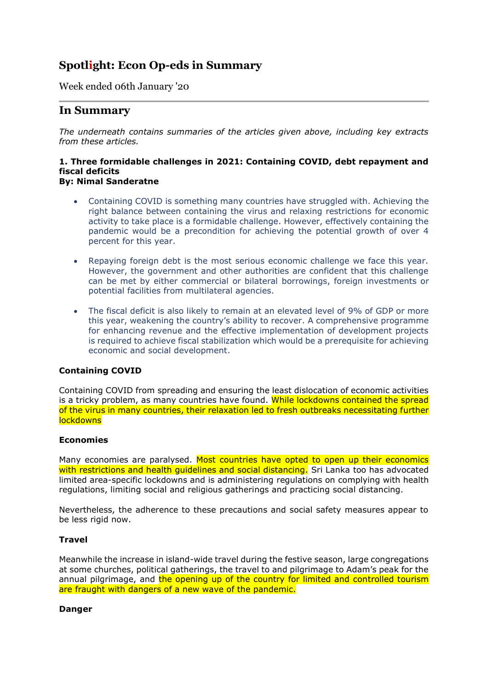# **Spotlight: Econ Op-eds in Summary**

## Week ended 06th January '20

# **In Summary**

*The underneath contains summaries of the articles given above, including key extracts from these articles.*

#### **1. Three formidable challenges in 2021: Containing COVID, debt repayment and fiscal deficits By: Nimal Sanderatne**

- Containing COVID is something many countries have struggled with. Achieving the right balance between containing the virus and relaxing restrictions for economic activity to take place is a formidable challenge. However, effectively containing the pandemic would be a precondition for achieving the potential growth of over 4 percent for this year.
- Repaying foreign debt is the most serious economic challenge we face this year. However, the government and other authorities are confident that this challenge can be met by either commercial or bilateral borrowings, foreign investments or potential facilities from multilateral agencies.
- The fiscal deficit is also likely to remain at an elevated level of 9% of GDP or more this year, weakening the country's ability to recover. A comprehensive programme for enhancing revenue and the effective implementation of development projects is required to achieve fiscal stabilization which would be a prerequisite for achieving economic and social development.

#### **Containing COVID**

Containing COVID from spreading and ensuring the least dislocation of economic activities is a tricky problem, as many countries have found. While lockdowns contained the spread of the virus in many countries, their relaxation led to fresh outbreaks necessitating further **lockdowns** 

#### **Economies**

Many economies are paralysed. Most countries have opted to open up their economics with restrictions and health quidelines and social distancing. Sri Lanka too has advocated limited area-specific lockdowns and is administering regulations on complying with health regulations, limiting social and religious gatherings and practicing social distancing.

Nevertheless, the adherence to these precautions and social safety measures appear to be less rigid now.

#### **Travel**

Meanwhile the increase in island-wide travel during the festive season, large congregations at some churches, political gatherings, the travel to and pilgrimage to Adam's peak for the annual pilgrimage, and the opening up of the country for limited and controlled tourism are fraught with dangers of a new wave of the pandemic.

#### **Danger**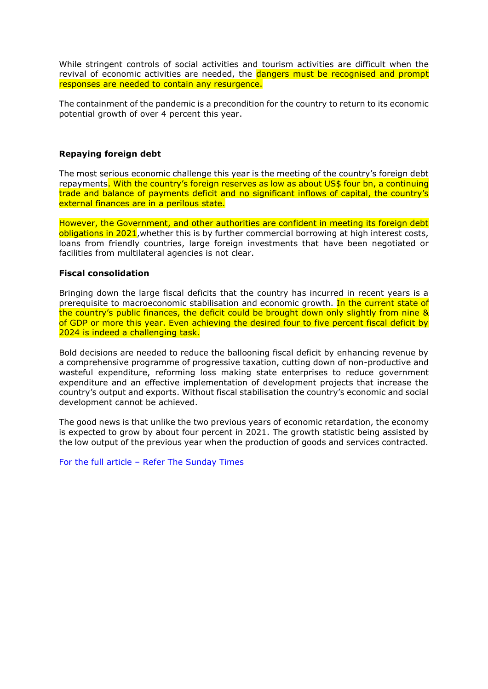While stringent controls of social activities and tourism activities are difficult when the revival of economic activities are needed, the dangers must be recognised and prompt responses are needed to contain any resurgence.

The containment of the pandemic is a precondition for the country to return to its economic potential growth of over 4 percent this year.

#### **Repaying foreign debt**

The most serious economic challenge this year is the meeting of the country's foreign debt repayments. With the country's foreign reserves as low as about US\$ four bn, a continuing trade and balance of payments deficit and no significant inflows of capital, the country's external finances are in a perilous state.

However, the Government, and other authorities are confident in meeting its foreign debt obligations in 2021, whether this is by further commercial borrowing at high interest costs, loans from friendly countries, large foreign investments that have been negotiated or facilities from multilateral agencies is not clear.

#### **Fiscal consolidation**

Bringing down the large fiscal deficits that the country has incurred in recent years is a prerequisite to macroeconomic stabilisation and economic growth. In the current state of the country's public finances, the deficit could be brought down only slightly from nine & of GDP or more this year. Even achieving the desired four to five percent fiscal deficit by 2024 is indeed a challenging task.

Bold decisions are needed to reduce the ballooning fiscal deficit by enhancing revenue by a comprehensive programme of progressive taxation, cutting down of non-productive and wasteful expenditure, reforming loss making state enterprises to reduce government expenditure and an effective implementation of development projects that increase the country's output and exports. Without fiscal stabilisation the country's economic and social development cannot be achieved.

The good news is that unlike the two previous years of economic retardation, the economy is expected to grow by about four percent in 2021. The growth statistic being assisted by the low output of the previous year when the production of goods and services contracted.

[For the full article](http://www.sundaytimes.lk/210103/columns/three-formidable-challenges-in-2021-containing-covid-debt-repayment-and-fiscal-deficits-427063.html) – Refer The Sunday Times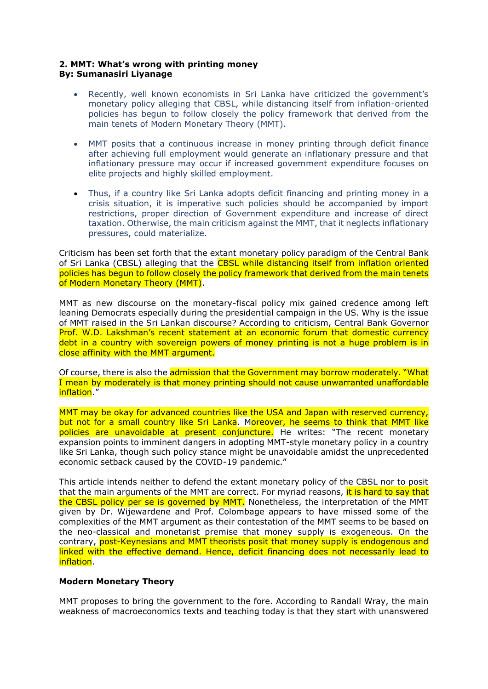#### **2. MMT: What's wrong with printing money By: Sumanasiri Liyanage**

- Recently, well known economists in Sri Lanka have criticized the government's monetary policy alleging that CBSL, while distancing itself from inflation-oriented policies has begun to follow closely the policy framework that derived from the main tenets of Modern Monetary Theory (MMT).
- MMT posits that a continuous increase in money printing through deficit finance after achieving full employment would generate an inflationary pressure and that inflationary pressure may occur if increased government expenditure focuses on elite projects and highly skilled employment.
- Thus, if a country like Sri Lanka adopts deficit financing and printing money in a crisis situation, it is imperative such policies should be accompanied by import restrictions, proper direction of Government expenditure and increase of direct taxation. Otherwise, the main criticism against the MMT, that it neglects inflationary pressures, could materialize.

Criticism has been set forth that the extant monetary policy paradigm of the Central Bank of Sri Lanka (CBSL) alleging that the CBSL while distancing itself from inflation oriented policies has begun to follow closely the policy framework that derived from the main tenets of Modern Monetary Theory (MMT).

MMT as new discourse on the monetary-fiscal policy mix gained credence among left leaning Democrats especially during the presidential campaign in the US. Why is the issue of MMT raised in the Sri Lankan discourse? According to criticism, Central Bank Governor Prof. W.D. Lakshman's recent statement at an economic forum that domestic currency debt in a country with sovereign powers of money printing is not a huge problem is in close affinity with the MMT argument.

Of course, there is also the admission that the Government may borrow moderately. "What I mean by moderately is that money printing should not cause unwarranted unaffordable inflation."

MMT may be okay for advanced countries like the USA and Japan with reserved currency, but not for a small country like Sri Lanka. Moreover, he seems to think that MMT like policies are unavoidable at present conjuncture. He writes: "The recent monetary expansion points to imminent dangers in adopting MMT-style monetary policy in a country like Sri Lanka, though such policy stance might be unavoidable amidst the unprecedented economic setback caused by the COVID-19 pandemic."

This article intends neither to defend the extant monetary policy of the CBSL nor to posit that the main arguments of the MMT are correct. For myriad reasons, it is hard to say that the CBSL policy per se is governed by MMT. Nonetheless, the interpretation of the MMT given by Dr. Wijewardene and Prof. Colombage appears to have missed some of the complexities of the MMT argument as their contestation of the MMT seems to be based on the neo-classical and monetarist premise that money supply is exogeneous. On the contrary, post-Keynesians and MMT theorists posit that money supply is endogenous and linked with the effective demand. Hence, deficit financing does not necessarily lead to inflation.

### **Modern Monetary Theory**

MMT proposes to bring the government to the fore. According to Randall Wray, the main weakness of macroeconomics texts and teaching today is that they start with unanswered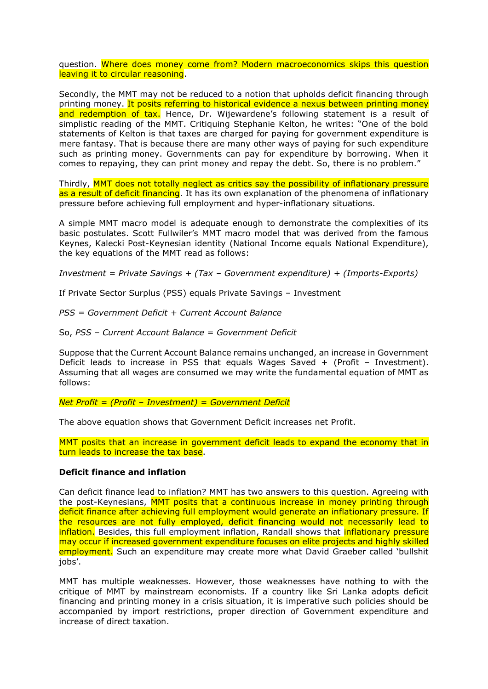question. Where does money come from? Modern macroeconomics skips this question leaving it to circular reasoning.

Secondly, the MMT may not be reduced to a notion that upholds deficit financing through printing money. It posits referring to historical evidence a nexus between printing money and redemption of tax. Hence, Dr. Wijewardene's following statement is a result of simplistic reading of the MMT. Critiquing Stephanie Kelton, he writes: "One of the bold statements of Kelton is that taxes are charged for paying for government expenditure is mere fantasy. That is because there are many other ways of paying for such expenditure such as printing money. Governments can pay for expenditure by borrowing. When it comes to repaying, they can print money and repay the debt. So, there is no problem."

Thirdly, MMT does not totally neglect as critics say the possibility of inflationary pressure as a result of deficit financing. It has its own explanation of the phenomena of inflationary pressure before achieving full employment and hyper-inflationary situations.

A simple MMT macro model is adequate enough to demonstrate the complexities of its basic postulates. Scott Fullwiler's MMT macro model that was derived from the famous Keynes, Kalecki Post-Keynesian identity (National Income equals National Expenditure), the key equations of the MMT read as follows:

*Investment = Private Savings + (Tax – Government expenditure) + (Imports-Exports)*

If Private Sector Surplus (PSS) equals Private Savings – Investment

*PSS = Government Deficit + Current Account Balance*

So, *PSS – Current Account Balance = Government Deficit*

Suppose that the Current Account Balance remains unchanged, an increase in Government Deficit leads to increase in PSS that equals Wages Saved + (Profit – Investment). Assuming that all wages are consumed we may write the fundamental equation of MMT as follows:

*Net Profit = (Profit – Investment) = Government Deficit* 

The above equation shows that Government Deficit increases net Profit.

MMT posits that an increase in government deficit leads to expand the economy that in turn leads to increase the tax base.

#### **Deficit finance and inflation**

Can deficit finance lead to inflation? MMT has two answers to this question. Agreeing with the post-Keynesians, MMT posits that a continuous increase in money printing through deficit finance after achieving full employment would generate an inflationary pressure. If the resources are not fully employed, deficit financing would not necessarily lead to inflation. Besides, this full employment inflation, Randall shows that *inflationary pressure* may occur if increased government expenditure focuses on elite projects and highly skilled employment. Such an expenditure may create more what David Graeber called 'bullshit jobs'.

MMT has multiple weaknesses. However, those weaknesses have nothing to with the critique of MMT by mainstream economists. If a country like Sri Lanka adopts deficit financing and printing money in a crisis situation, it is imperative such policies should be accompanied by import restrictions, proper direction of Government expenditure and increase of direct taxation.